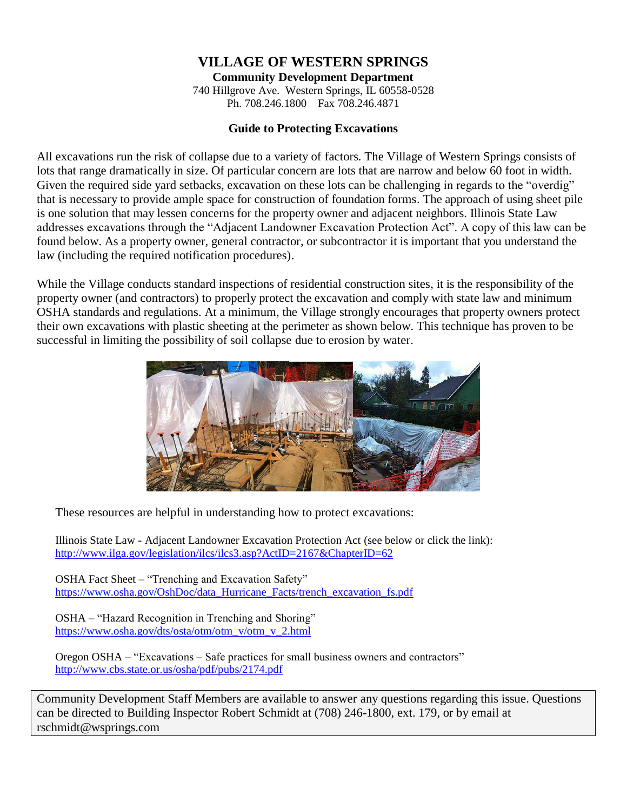## **VILLAGE OF WESTERN SPRINGS**

**Community Development Department**

740 Hillgrove Ave. Western Springs, IL 60558-0528 Ph. 708.246.1800 Fax 708.246.4871

## **Guide to Protecting Excavations**

All excavations run the risk of collapse due to a variety of factors. The Village of Western Springs consists of lots that range dramatically in size. Of particular concern are lots that are narrow and below 60 foot in width. Given the required side yard setbacks, excavation on these lots can be challenging in regards to the "overdig" that is necessary to provide ample space for construction of foundation forms. The approach of using sheet pile is one solution that may lessen concerns for the property owner and adjacent neighbors. Illinois State Law addresses excavations through the "Adjacent Landowner Excavation Protection Act". A copy of this law can be found below. As a property owner, general contractor, or subcontractor it is important that you understand the law (including the required notification procedures).

While the Village conducts standard inspections of residential construction sites, it is the responsibility of the property owner (and contractors) to properly protect the excavation and comply with state law and minimum OSHA standards and regulations. At a minimum, the Village strongly encourages that property owners protect their own excavations with plastic sheeting at the perimeter as shown below. This technique has proven to be successful in limiting the possibility of soil collapse due to erosion by water.



These resources are helpful in understanding how to protect excavations:

Illinois State Law - Adjacent Landowner Excavation Protection Act (see below or click the link): <http://www.ilga.gov/legislation/ilcs/ilcs3.asp?ActID=2167&ChapterID=62>

OSHA Fact Sheet – "Trenching and Excavation Safety" [https://www.osha.gov/OshDoc/data\\_Hurricane\\_Facts/trench\\_excavation\\_fs.pdf](https://www.osha.gov/OshDoc/data_Hurricane_Facts/trench_excavation_fs.pdf)

OSHA – "Hazard Recognition in Trenching and Shoring" [https://www.osha.gov/dts/osta/otm/otm\\_v/otm\\_v\\_2.html](https://www.osha.gov/dts/osta/otm/otm_v/otm_v_2.html)

Oregon OSHA – "Excavations – Safe practices for small business owners and contractors" <http://www.cbs.state.or.us/osha/pdf/pubs/2174.pdf>

Community Development Staff Members are available to answer any questions regarding this issue. Questions can be directed to Building Inspector Robert Schmidt at (708) 246-1800, ext. 179, or by email at rschmidt@wsprings.com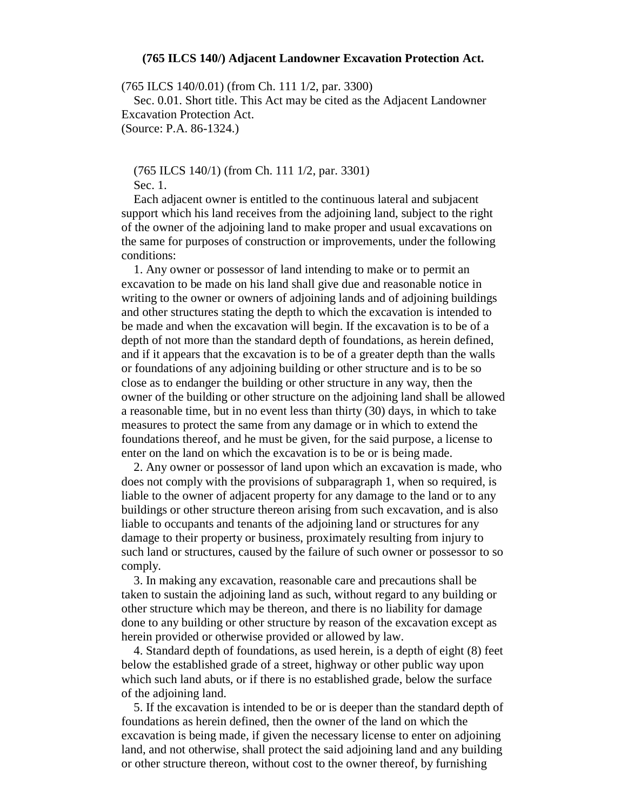## **(765 ILCS 140/) Adjacent Landowner Excavation Protection Act.**

(765 ILCS 140/0.01) (from Ch. 111 1/2, par. 3300)

 Sec. 0.01. Short title. This Act may be cited as the Adjacent Landowner Excavation Protection Act.

(Source: P.A. 86-1324.)

 (765 ILCS 140/1) (from Ch. 111 1/2, par. 3301) Sec. 1.

 Each adjacent owner is entitled to the continuous lateral and subjacent support which his land receives from the adjoining land, subject to the right of the owner of the adjoining land to make proper and usual excavations on the same for purposes of construction or improvements, under the following conditions:

 1. Any owner or possessor of land intending to make or to permit an excavation to be made on his land shall give due and reasonable notice in writing to the owner or owners of adjoining lands and of adjoining buildings and other structures stating the depth to which the excavation is intended to be made and when the excavation will begin. If the excavation is to be of a depth of not more than the standard depth of foundations, as herein defined, and if it appears that the excavation is to be of a greater depth than the walls or foundations of any adjoining building or other structure and is to be so close as to endanger the building or other structure in any way, then the owner of the building or other structure on the adjoining land shall be allowed a reasonable time, but in no event less than thirty (30) days, in which to take measures to protect the same from any damage or in which to extend the foundations thereof, and he must be given, for the said purpose, a license to enter on the land on which the excavation is to be or is being made.

 2. Any owner or possessor of land upon which an excavation is made, who does not comply with the provisions of subparagraph 1, when so required, is liable to the owner of adjacent property for any damage to the land or to any buildings or other structure thereon arising from such excavation, and is also liable to occupants and tenants of the adjoining land or structures for any damage to their property or business, proximately resulting from injury to such land or structures, caused by the failure of such owner or possessor to so comply.

 3. In making any excavation, reasonable care and precautions shall be taken to sustain the adjoining land as such, without regard to any building or other structure which may be thereon, and there is no liability for damage done to any building or other structure by reason of the excavation except as herein provided or otherwise provided or allowed by law.

 4. Standard depth of foundations, as used herein, is a depth of eight (8) feet below the established grade of a street, highway or other public way upon which such land abuts, or if there is no established grade, below the surface of the adjoining land.

 5. If the excavation is intended to be or is deeper than the standard depth of foundations as herein defined, then the owner of the land on which the excavation is being made, if given the necessary license to enter on adjoining land, and not otherwise, shall protect the said adjoining land and any building or other structure thereon, without cost to the owner thereof, by furnishing